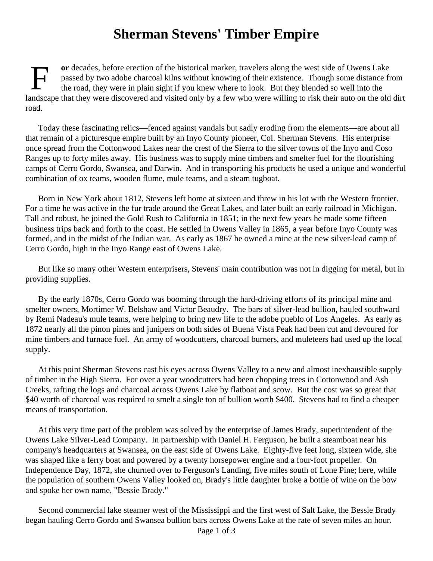## **Sherman Stevens' Timber Empire**

F **or** decades, before erection of the historical marker, travelers along the west side of Owens Lake passed by two adobe charcoal kilns without knowing of their existence. Though some distance from the road, they were in plain sight if you knew where to look. But they blended so well into the landscape that they were discovered and visited only by a few who were willing to risk their auto on the old dirt road.

Today these fascinating relics—fenced against vandals but sadly eroding from the elements—are about all that remain of a picturesque empire built by an Inyo County pioneer, Col. Sherman Stevens. His enterprise once spread from the Cottonwood Lakes near the crest of the Sierra to the silver towns of the Inyo and Coso Ranges up to forty miles away. His business was to supply mine timbers and smelter fuel for the flourishing camps of Cerro Gordo, Swansea, and Darwin. And in transporting his products he used a unique and wonderful combination of ox teams, wooden flume, mule teams, and a steam tugboat.

Born in New York about 1812, Stevens left home at sixteen and threw in his lot with the Western frontier. For a time he was active in the fur trade around the Great Lakes, and later built an early railroad in Michigan. Tall and robust, he joined the Gold Rush to California in 1851; in the next few years he made some fifteen business trips back and forth to the coast. He settled in Owens Valley in 1865, a year before Inyo County was formed, and in the midst of the Indian war. As early as 1867 he owned a mine at the new silver-lead camp of Cerro Gordo, high in the Inyo Range east of Owens Lake.

But like so many other Western enterprisers, Stevens' main contribution was not in digging for metal, but in providing supplies.

By the early 1870s, Cerro Gordo was booming through the hard-driving efforts of its principal mine and smelter owners, Mortimer W. Belshaw and Victor Beaudry. The bars of silver-lead bullion, hauled southward by Remi Nadeau's mule teams, were helping to bring new life to the adobe pueblo of Los Angeles. As early as 1872 nearly all the pinon pines and junipers on both sides of Buena Vista Peak had been cut and devoured for mine timbers and furnace fuel. An army of woodcutters, charcoal burners, and muleteers had used up the local supply.

At this point Sherman Stevens cast his eyes across Owens Valley to a new and almost inexhaustible supply of timber in the High Sierra. For over a year woodcutters had been chopping trees in Cottonwood and Ash Creeks, rafting the logs and charcoal across Owens Lake by flatboat and scow. But the cost was so great that \$40 worth of charcoal was required to smelt a single ton of bullion worth \$400. Stevens had to find a cheaper means of transportation.

At this very time part of the problem was solved by the enterprise of James Brady, superintendent of the Owens Lake Silver-Lead Company. In partnership with Daniel H. Ferguson, he built a steamboat near his company's headquarters at Swansea, on the east side of Owens Lake. Eighty-five feet long, sixteen wide, she was shaped like a ferry boat and powered by a twenty horsepower engine and a four-foot propeller. On Independence Day, 1872, she churned over to Ferguson's Landing, five miles south of Lone Pine; here, while the population of southern Owens Valley looked on, Brady's little daughter broke a bottle of wine on the bow and spoke her own name, "Bessie Brady."

Second commercial lake steamer west of the Mississippi and the first west of Salt Lake, the Bessie Brady began hauling Cerro Gordo and Swansea bullion bars across Owens Lake at the rate of seven miles an hour.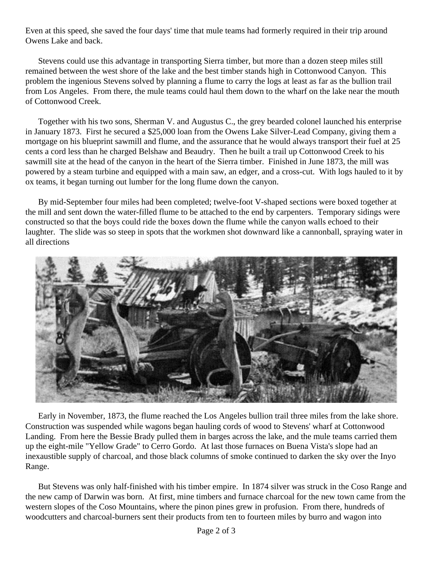Even at this speed, she saved the four days' time that mule teams had formerly required in their trip around Owens Lake and back.

Stevens could use this advantage in transporting Sierra timber, but more than a dozen steep miles still remained between the west shore of the lake and the best timber stands high in Cottonwood Canyon. This problem the ingenious Stevens solved by planning a flume to carry the logs at least as far as the bullion trail from Los Angeles. From there, the mule teams could haul them down to the wharf on the lake near the mouth of Cottonwood Creek.

Together with his two sons, Sherman V. and Augustus C., the grey bearded colonel launched his enterprise in January 1873. First he secured a \$25,000 loan from the Owens Lake Silver-Lead Company, giving them a mortgage on his blueprint sawmill and flume, and the assurance that he would always transport their fuel at 25 cents a cord less than he charged Belshaw and Beaudry. Then he built a trail up Cottonwood Creek to his sawmill site at the head of the canyon in the heart of the Sierra timber. Finished in June 1873, the mill was powered by a steam turbine and equipped with a main saw, an edger, and a cross-cut. With logs hauled to it by ox teams, it began turning out lumber for the long flume down the canyon.

By mid-September four miles had been completed; twelve-foot V-shaped sections were boxed together at the mill and sent down the water-filled flume to be attached to the end by carpenters. Temporary sidings were constructed so that the boys could ride the boxes down the flume while the canyon walls echoed to their laughter. The slide was so steep in spots that the workmen shot downward like a cannonball, spraying water in all directions



Early in November, 1873, the flume reached the Los Angeles bullion trail three miles from the lake shore. Construction was suspended while wagons began hauling cords of wood to Stevens' wharf at Cottonwood Landing. From here the Bessie Brady pulled them in barges across the lake, and the mule teams carried them up the eight-mile "Yellow Grade" to Cerro Gordo. At last those furnaces on Buena Vista's slope had an inexaustible supply of charcoal, and those black columns of smoke continued to darken the sky over the Inyo Range.

But Stevens was only half-finished with his timber empire. In 1874 silver was struck in the Coso Range and the new camp of Darwin was born. At first, mine timbers and furnace charcoal for the new town came from the western slopes of the Coso Mountains, where the pinon pines grew in profusion. From there, hundreds of woodcutters and charcoal-burners sent their products from ten to fourteen miles by burro and wagon into